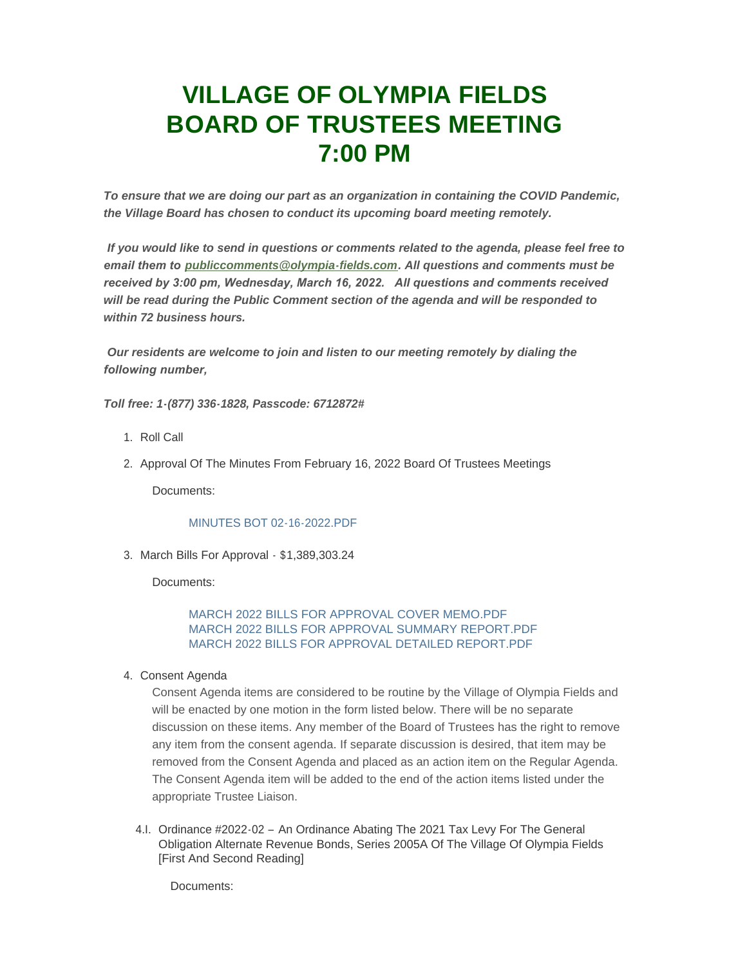# **VILLAGE OF OLYMPIA FIELDS BOARD OF TRUSTEES MEETING 7:00 PM**

*To ensure that we are doing our part as an organization in containing the COVID Pandemic, the Village Board has chosen to conduct its upcoming board meeting remotely.*

*If you would like to send in questions or comments related to the agenda, please feel free to email them to [publiccomments@olympia-fields.com](mailto:publiccomments@olympia-fields.com). All questions and comments must be received by 3:00 pm, Wednesday, March 16, 2022. All questions and comments received will be read during the Public Comment section of the agenda and will be responded to within 72 business hours.*

*Our residents are welcome to join and listen to our meeting remotely by dialing the following number,* 

*Toll free: 1-(877) 336-1828, Passcode: 6712872#*

- 1. Roll Call
- 2. Approval Of The Minutes From February 16, 2022 Board Of Trustees Meetings

Documents:

# [MINUTES BOT 02-16-2022.PDF](https://www.olympia-fields.com/AgendaCenter/ViewFile/Item/2188?fileID=2167)

3. March Bills For Approval - \$1,389,303.24

Documents:

[MARCH 2022 BILLS FOR APPROVAL COVER MEMO.PDF](https://www.olympia-fields.com/AgendaCenter/ViewFile/Item/2197?fileID=2177) [MARCH 2022 BILLS FOR APPROVAL SUMMARY REPORT.PDF](https://www.olympia-fields.com/AgendaCenter/ViewFile/Item/2197?fileID=2176) [MARCH 2022 BILLS FOR APPROVAL DETAILED REPORT.PDF](https://www.olympia-fields.com/AgendaCenter/ViewFile/Item/2197?fileID=2175)

4. Consent Agenda

Consent Agenda items are considered to be routine by the Village of Olympia Fields and will be enacted by one motion in the form listed below. There will be no separate discussion on these items. Any member of the Board of Trustees has the right to remove any item from the consent agenda. If separate discussion is desired, that item may be removed from the Consent Agenda and placed as an action item on the Regular Agenda. The Consent Agenda item will be added to the end of the action items listed under the appropriate Trustee Liaison.

4.I. Ordinance #2022-02 - An Ordinance Abating The 2021 Tax Levy For The General Obligation Alternate Revenue Bonds, Series 2005A Of The Village Of Olympia Fields [First And Second Reading]

Documents: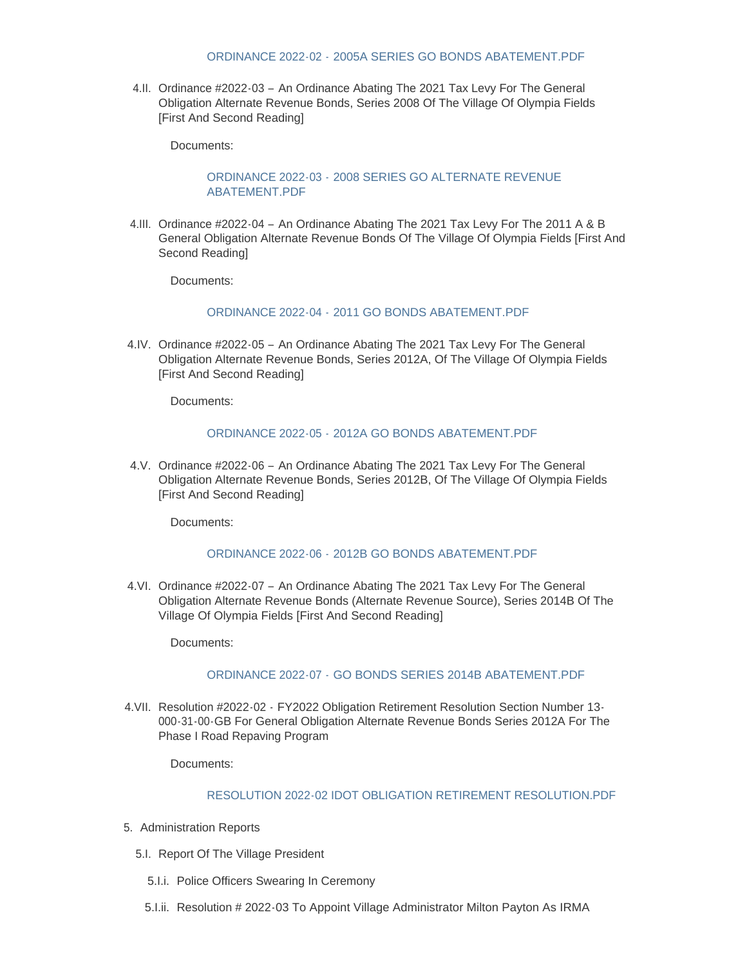#### ORDINANCE 2022-02 - [2005A SERIES GO BONDS ABATEMENT.PDF](https://www.olympia-fields.com/AgendaCenter/ViewFile/Item/2190?fileID=2168)

4.II. Ordinance #2022-03 - An Ordinance Abating The 2021 Tax Levy For The General Obligation Alternate Revenue Bonds, Series 2008 Of The Village Of Olympia Fields [First And Second Reading]

Documents:

### ORDINANCE 2022-03 - [2008 SERIES GO ALTERNATE REVENUE](https://www.olympia-fields.com/AgendaCenter/ViewFile/Item/2191?fileID=2169)  ABATEMENT.PDF

4.III. Ordinance #2022-04 - An Ordinance Abating The 2021 Tax Levy For The 2011 A & B General Obligation Alternate Revenue Bonds Of The Village Of Olympia Fields [First And Second Reading]

Documents:

#### ORDINANCE 2022-04 - [2011 GO BONDS ABATEMENT.PDF](https://www.olympia-fields.com/AgendaCenter/ViewFile/Item/2192?fileID=2170)

4.IV. Ordinance #2022-05 - An Ordinance Abating The 2021 Tax Levy For The General Obligation Alternate Revenue Bonds, Series 2012A, Of The Village Of Olympia Fields [First And Second Reading]

Documents:

#### ORDINANCE 2022-05 - [2012A GO BONDS ABATEMENT.PDF](https://www.olympia-fields.com/AgendaCenter/ViewFile/Item/2193?fileID=2171)

4.V. Ordinance #2022-06 - An Ordinance Abating The 2021 Tax Levy For The General Obligation Alternate Revenue Bonds, Series 2012B, Of The Village Of Olympia Fields [First And Second Reading]

Documents:

### ORDINANCE 2022-06 - [2012B GO BONDS ABATEMENT.PDF](https://www.olympia-fields.com/AgendaCenter/ViewFile/Item/2194?fileID=2172)

4.VI. Ordinance #2022-07 - An Ordinance Abating The 2021 Tax Levy For The General Obligation Alternate Revenue Bonds (Alternate Revenue Source), Series 2014B Of The Village Of Olympia Fields [First And Second Reading]

Documents:

### ORDINANCE 2022-07 - GO BONDS SERIES 2014B ABATEMENT PDF

4.VII. Resolution #2022-02 - FY2022 Obligation Retirement Resolution Section Number 13-000-31-00-GB For General Obligation Alternate Revenue Bonds Series 2012A For The Phase I Road Repaving Program

Documents:

#### [RESOLUTION 2022-02 IDOT OBLIGATION RETIREMENT RESOLUTION.PDF](https://www.olympia-fields.com/AgendaCenter/ViewFile/Item/2196?fileID=2174)

- 5. Administration Reports
	- 5.I. Report Of The Village President
		- 5.I.i. Police Officers Swearing In Ceremony
		- 5.I.ii. Resolution # 2022-03 To Appoint Village Administrator Milton Payton As IRMA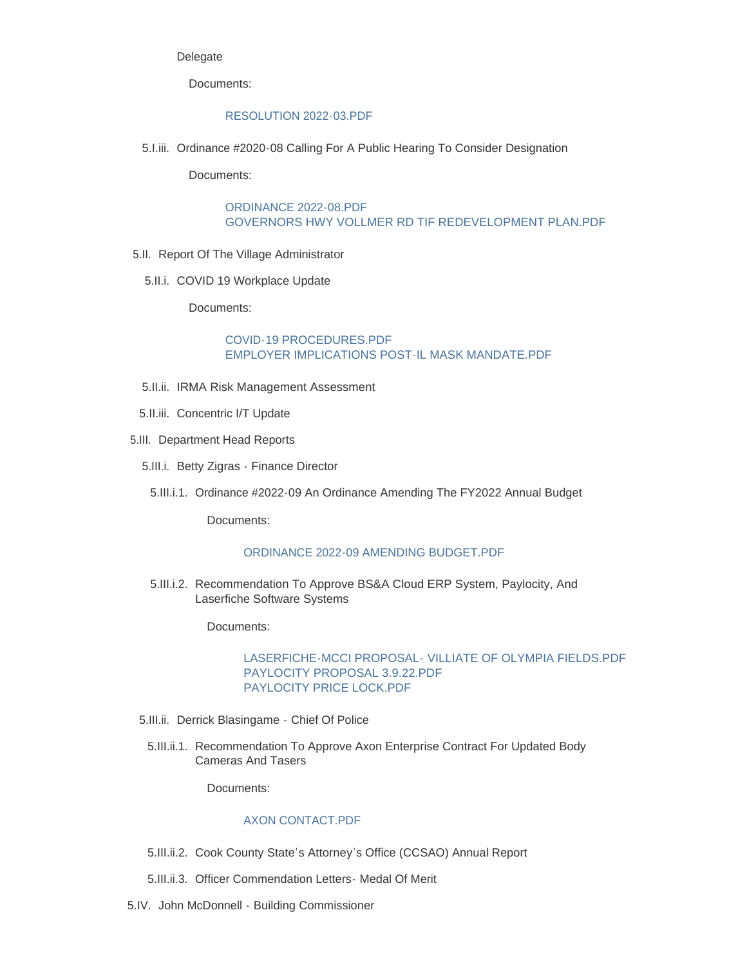### Delegate

Documents:

#### [RESOLUTION 2022-03.PDF](https://www.olympia-fields.com/AgendaCenter/ViewFile/Item/2198?fileID=2178)

5. I.iii. Ordinance #2020-08 Calling For A Public Hearing To Consider Designation

Documents:

#### [ORDINANCE 2022-08.PDF](https://www.olympia-fields.com/AgendaCenter/ViewFile/Item/2199?fileID=2179) [GOVERNORS HWY VOLLMER RD TIF REDEVELOPMENT PLAN.PDF](https://www.olympia-fields.com/AgendaCenter/ViewFile/Item/2199?fileID=2180)

- 5.II. Report Of The Village Administrator
	- 5.II.i. COVID 19 Workplace Update

Documents:

### [COVID-19 PROCEDURES.PDF](https://www.olympia-fields.com/AgendaCenter/ViewFile/Item/2200?fileID=2192) [EMPLOYER IMPLICATIONS POST-IL MASK MANDATE.PDF](https://www.olympia-fields.com/AgendaCenter/ViewFile/Item/2200?fileID=2182)

- 5.II.ii. IRMA Risk Management Assessment
- 5.II.iii. Concentric I/T Update
- 5.III. Department Head Reports
	- 5.III.i. Betty Zigras Finance Director
		- 5.III.i.1. Ordinance #2022-09 An Ordinance Amending The FY2022 Annual Budget

Documents:

# [ORDINANCE 2022-09 AMENDING BUDGET.PDF](https://www.olympia-fields.com/AgendaCenter/ViewFile/Item/2204?fileID=2193)

5.III.i.2. Recommendation To Approve BS&A Cloud ERP System, Paylocity, And Laserfiche Software Systems

Documents:

### LASERFICHE-MCCI PROPOSAL- [VILLIATE OF OLYMPIA FIELDS.PDF](https://www.olympia-fields.com/AgendaCenter/ViewFile/Item/2205?fileID=2184) [PAYLOCITY PROPOSAL 3.9.22.PDF](https://www.olympia-fields.com/AgendaCenter/ViewFile/Item/2205?fileID=2185) [PAYLOCITY PRICE LOCK.PDF](https://www.olympia-fields.com/AgendaCenter/ViewFile/Item/2205?fileID=2186)

- 5.III.ii. Derrick Blasingame Chief Of Police
	- 5.III.ii.1. Recommendation To Approve Axon Enterprise Contract For Updated Body Cameras And Tasers

Documents:

# [AXON CONTACT.PDF](https://www.olympia-fields.com/AgendaCenter/ViewFile/Item/2206?fileID=2187)

- 5.III.ii.2. Cook County State's Attorney's Office (CCSAO) Annual Report
- 5.III.ii.3. Officer Commendation Letters Medal Of Merit
- 5.IV. John McDonnell Building Commissioner